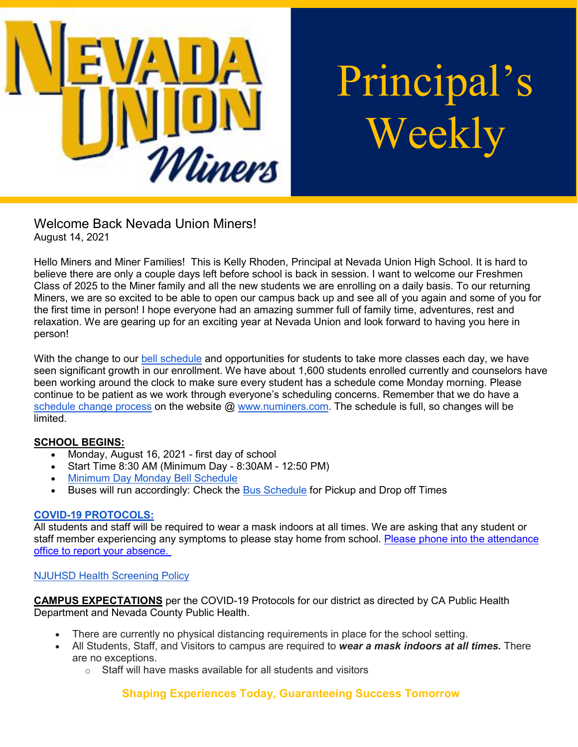

# Principal's Weekly

Welcome Back Nevada Union Miners! August 14, 2021

Hello Miners and Miner Families! This is Kelly Rhoden, Principal at Nevada Union High School. It is hard to believe there are only a couple days left before school is back in session. I want to welcome our Freshmen Class of 2025 to the Miner family and all the new students we are enrolling on a daily basis. To our returning Miners, we are so excited to be able to open our campus back up and see all of you again and some of you for the first time in person! I hope everyone had an amazing summer full of family time, adventures, rest and relaxation. We are gearing up for an exciting year at Nevada Union and look forward to having you here in person!

With the change to our [bell schedule](https://nevadaunion.njuhsd.com/Information/Bell-Schedules/index.html) and opportunities for students to take more classes each day, we have seen significant growth in our enrollment. We have about 1,600 students enrolled currently and counselors have been working around the clock to make sure every student has a schedule come Monday morning. Please continue to be patient as we work through everyone's scheduling concerns. Remember that we do have a [schedule change process](https://sites.google.com/njuhsd.com/nucounseling/scheduling) on the website  $@$  [www.numiners.com.](http://www.numiners.com/) The schedule is full, so changes will be limited.

# **SCHOOL BEGINS:**

- Monday, August 16, 2021 first day of school
- Start Time 8:30 AM (Minimum Day 8:30AM 12:50 PM)
- [Minimum Day Monday Bell Schedule](https://nevadaunion.njuhsd.com/documents/Bell%20Schedules/21.22-MONDAY-MINIMUM-DAY-BELL-SCHEDULE.pdf)
- Buses will run accordingly: Check the [Bus Schedule](https://www.njuhsd.com/documents/NUHS-2021-2022-MASTER-SCHEDULE-8-9-2021.pdf) for Pickup and Drop off Times

### **[COVID-19 PROTOCOLS:](https://www.njuhsd.com/Covid-19/index.html)**

All students and staff will be required to wear a mask indoors at all times. We are asking that any student or staff member experiencing any symptoms to please stay home from school. [Please phone into the attendance](https://nevadaunion.njuhsd.com/Information/Attendance/index.html)  [office to report your absence.](https://nevadaunion.njuhsd.com/Information/Attendance/index.html)

### [NJUHSD Health Screening Policy](https://drive.google.com/file/d/1Tdw-xa2rLy96HMa6rv0WUwaoSbzpxkZu/view)

**CAMPUS EXPECTATIONS** per the COVID-19 Protocols for our district as directed by CA Public Health Department and Nevada County Public Health.

- There are currently no physical distancing requirements in place for the school setting.
- All Students, Staff, and Visitors to campus are required to *wear a mask indoors at all times.* There are no exceptions.
	- $\circ$  Staff will have masks available for all students and visitors

# **Shaping Experiences Today, Guaranteeing Success Tomorrow**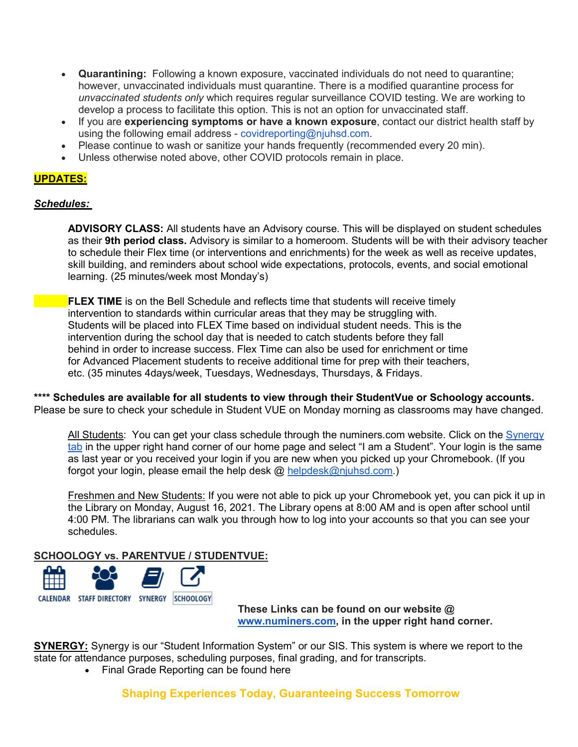- **Quarantining:** Following a known exposure, vaccinated individuals do not need to quarantine; however, unvaccinated individuals must quarantine. There is a modified quarantine process for *unvaccinated students only* which requires regular surveillance COVID testing. We are working to develop a process to facilitate this option. This is not an option for unvaccinated staff.
- If you are **experiencing symptoms or have a known exposure**, contact our district health staff by using the following email address - covidreporting@njuhsd.com.
- Please continue to wash or sanitize your hands frequently (recommended every 20 min).
- Unless otherwise noted above, other COVID protocols remain in place.

## **UPDATES:**

#### *Schedules:*

**ADVISORY CLASS:** All students have an Advisory course. This will be displayed on student schedules as their **9th period class.** Advisory is similar to a homeroom. Students will be with their advisory teacher to schedule their Flex time (or interventions and enrichments) for the week as well as receive updates, skill building, and reminders about school wide expectations, protocols, events, and social emotional learning. (25 minutes/week most Monday's)

**FLEX TIME** is on the Bell Schedule and reflects time that students will receive timely intervention to standards within curricular areas that they may be struggling with. Students will be placed into FLEX Time based on individual student needs. This is the intervention during the school day that is needed to catch students before they fall behind in order to increase success. Flex Time can also be used for enrichment or time for Advanced Placement students to receive additional time for prep with their teachers, etc. (35 minutes 4days/week, Tuesdays, Wednesdays, Thursdays, & Fridays.

**\*\*\*\* Schedules are available for all students to view through their StudentVue or Schoology accounts.**

Please be sure to check your schedule in Student VUE on Monday morning as classrooms may have changed.

All Students: You can get your class schedule through the numiners.com website. Click on the [Synergy](https://ca-nju.edupoint.com/PXP2_Login.aspx)  [tab](https://ca-nju.edupoint.com/PXP2_Login.aspx) in the upper right hand corner of our home page and select "I am a Student". Your login is the same as last year or you received your login if you are new when you picked up your Chromebook. (If you forgot your login, please email the help desk @ [helpdesk@njuhsd.com.](mailto:helpdesk@njuhsd.com))

Freshmen and New Students: If you were not able to pick up your Chromebook yet, you can pick it up in the Library on Monday, August 16, 2021. The Library opens at 8:00 AM and is open after school until 4:00 PM. The librarians can walk you through how to log into your accounts so that you can see your schedules.

**SCHOOLOGY vs. PARENTVUE / STUDENTVUE:**



**These Links can be found on our website @ [www.numiners.com,](http://www.numiners.com/) in the upper right hand corner.**

**SYNERGY:** Synergy is our "Student Information System" or our SIS. This system is where we report to the state for attendance purposes, scheduling purposes, final grading, and for transcripts.

• Final Grade Reporting can be found here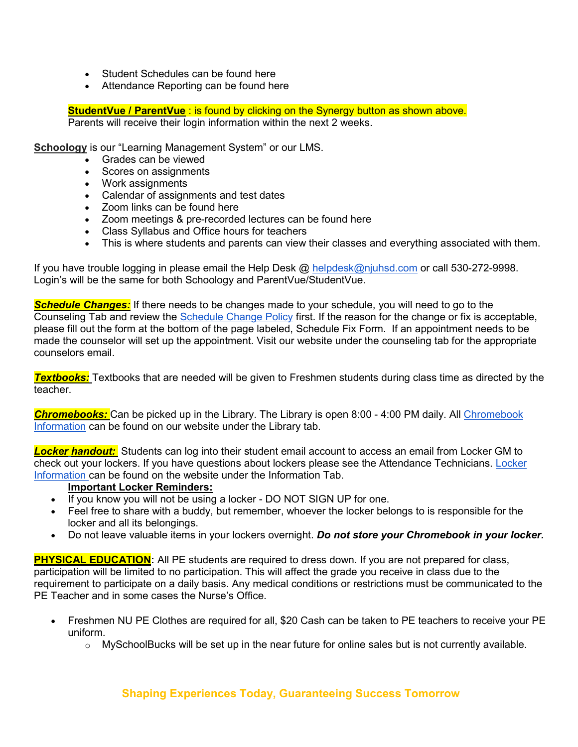- Student Schedules can be found here
- Attendance Reporting can be found here

**StudentVue / ParentVue** : is found by clicking on the Synergy button as shown above. Parents will receive their login information within the next 2 weeks.

**Schoology** is our "Learning Management System" or our LMS.

- Grades can be viewed
- Scores on assignments
- Work assignments
- Calendar of assignments and test dates
- Zoom links can be found here
- Zoom meetings & pre-recorded lectures can be found here
- Class Syllabus and Office hours for teachers
- This is where students and parents can view their classes and everything associated with them.

If you have trouble logging in please email the Help Desk @ [helpdesk@njuhsd.com](mailto:helpdesk@njuhsd.com) or call 530-272-9998. Login's will be the same for both Schoology and ParentVue/StudentVue.

*Schedule Changes:* If there needs to be changes made to your schedule, you will need to go to the Counseling Tab and review the [Schedule Change Policy](https://sites.google.com/njuhsd.com/nucounseling/scheduling) first. If the reason for the change or fix is acceptable, please fill out the form at the bottom of the page labeled, Schedule Fix Form. If an appointment needs to be made the counselor will set up the appointment. Visit our website under the counseling tab for the appropriate counselors email.

*Textbooks:* Textbooks that are needed will be given to Freshmen students during class time as directed by the teacher.

*Chromebooks:* Can be picked up in the Library. The Library is open 8:00 - 4:00 PM daily. All [Chromebook](https://nevadaunion.njuhsd.com/Library/Chromebooks/index.html)  [Information](https://nevadaunion.njuhsd.com/Library/Chromebooks/index.html) can be found on our website under the Library tab.

*Locke[r](https://nevadaunion.njuhsd.com/Information/Lockers/index.html) handout:* Students can log into their student email account to access an email from Locker GM to check out your lockers. If you have questions about lockers please see the Attendance Technicians. [Locker](https://nevadaunion.njuhsd.com/Information/Lockers/index.html)  [Information](https://nevadaunion.njuhsd.com/Information/Lockers/index.html) can be found on the website under the Information Tab.

### **Important Locker Reminders:**

- If you know you will not be using a locker DO NOT SIGN UP for one.
- Feel free to share with a buddy, but remember, whoever the locker belongs to is responsible for the locker and all its belongings.
- Do not leave valuable items in your lockers overnight. *Do not store your Chromebook in your locker.*

**PHYSICAL EDUCATION:** All PE students are required to dress down. If you are not prepared for class, participation will be limited to no participation. This will affect the grade you receive in class due to the requirement to participate on a daily basis. Any medical conditions or restrictions must be communicated to the PE Teacher and in some cases the Nurse's Office.

- Freshmen NU PE Clothes are required for all, \$20 Cash can be taken to PE teachers to receive your PE uniform.
	- $\circ$  MySchoolBucks will be set up in the near future for online sales but is not currently available.